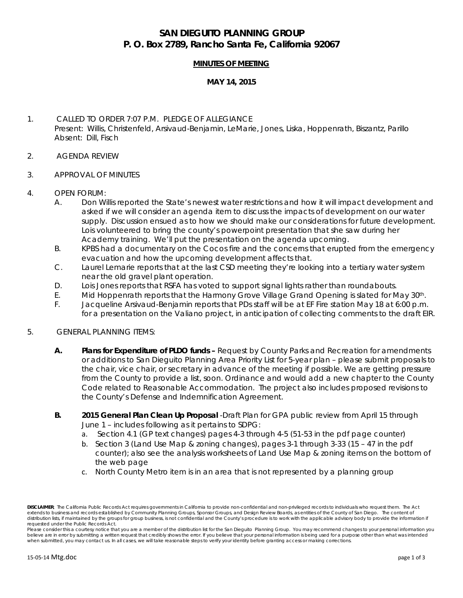# **SAN DIEGUITO PLANNING GROUP P. O. Box 2789, Rancho Santa Fe, California 92067**

### **MINUTES OF MEETING**

#### **MAY 14, 2015**

## 1. CALLED TO ORDER 7:07 P.M. PLEDGE OF ALLEGIANCE Present: Willis, Christenfeld, Arsivaud-Benjamin, LeMarie, Jones, Liska, Hoppenrath, Biszantz, Parillo Absent: Dill, Fisch

- 2. AGENDA REVIEW
- 3. APPROVAL OF MINUTES
- 4. OPEN FORUM:
	- A. Don Willis reported the State's newest water restrictions and how it will impact development and asked if we will consider an agenda item to discuss the impacts of development on our water supply. Discussion ensued as to how we should make our considerations for future development. Lois volunteered to bring the county's powerpoint presentation that she saw during her Academy training. We'll put the presentation on the agenda upcoming.
	- B. KPBS had a documentary on the Cocos fire and the concerns that erupted from the emergency evacuation and how the upcoming development affects that.
	- C. Laurel Lemarie reports that at the last CSD meeting they're looking into a tertiary water system near the old gravel plant operation.
	- D. Lois Jones reports that RSFA has voted to support signal lights rather than roundabouts.
	- E. Mid Hoppenrath reports that the Harmony Grove Village Grand Opening is slated for May 30th.
	- F. Jacqueline Arsivaud-Benjamin reports that PDs staff will be at EF Fire station May 18 at 6:00 p.m. for a presentation on the Valiano project, in anticipation of collecting comments to the draft EIR.

#### 5. GENERAL PLANNING ITEMS:

- **A. Plans for Expenditure of PLDO funds –** Request by County Parks and Recreation for amendments or additions to San Dieguito Planning Area Priority List for 5-year plan – please submit proposals to the chair, vice chair, or secretary in advance of the meeting if possible. We are getting pressure from the County to provide a list, soon. Ordinance and would add a new chapter to the County Code related to Reasonable Accommodation. The project also includes proposed revisions to the County's Defense and Indemnification Agreement.
- **B. 2015 General Plan Clean Up Proposal** -Draft Plan for GPA public review from April 15 through June 1 – includes following as it pertains to SDPG:
	- a. Section 4.1 (GP text changes) pages 4-3 through 4-5 (51-53 in the pdf page counter)
	- b. Section 3 (Land Use Map & zoning changes), pages 3-1 through 3-33 (15 47 in the pdf counter); also see the analysis worksheets of Land Use Map & zoning items on the bottom of the web page
	- c. North County Metro item is in an area that is not represented by a planning group

**DISCLAIMER**; The Califomia Public Records Act requires governments in California to provide non-confidential and non-privileged records to individuals who request them. The Act<br>extends to business and records established distribution lists, if maintained by the groups for group business, is not confidential and the County's procedure is to work with the applicable advisory body to provide the information if *requested under the Public Records Act.*

Please consider this a courtesy notice that you are a member of the distribution list for the San Dieguito Planning Group. You may recommend changes to your personal information you believe are in error by submitting a written request that credibly shows the error. If you believe that your personal information is being used for a purpose other than what was intended *when submitted, you may contact us. In all cases, we will take reasonable steps to verify your identity before granting access or making corrections.*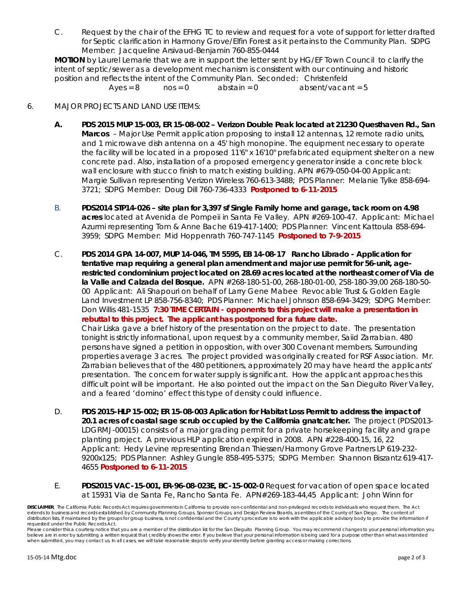C. Request by the chair of the EFHG TC to review and request for a vote of support for letter drafted for Septic clarification in Harmony Grove/Elfin Forest as it pertains to the Community Plan. SDPG Member: Jacqueline Arsivaud-Benjamin 760-855-0444

**MOTION** by Laurel Lemarie that we are in support the letter sent by HG/EF Town Council to clarify the intent of septic/sewer as a development mechanism is consistent with our continuing and historic position and reflects the intent of the Community Plan. Seconded: Christenfeld

 $Ayes = 8$  nos = 0 abstain = 0 absent/vacant = 5

## 6. MAJOR PROJECTS AND LAND USE ITEMS:

- **A. PDS 2015 MUP 15-003, ER 15-08-002 – Verizon Double Peak located at 21230 Questhaven Rd., San Marcos** – Major Use Permit application proposing to install 12 antennas, 12 remote radio units, and 1 microwave dish antenna on a 45' high monopine. The equipment necessary to operate the facility will be located in a proposed 11'6" x 16'10" prefabricated equipment shelter on a new concrete pad. Also, installation of a proposed emergency generator inside a concrete block wall enclosure with stucco finish to match existing building. APN #679-050-04-00 Applicant: Margie Sullivan representing Verizon Wireless 760-613-3488; PDS Planner: Melanie Tylke 858-694- 3721; SDPG Member: Doug Dill 760-736-4333 *Postponed to 6-11-2015*
- B. **PDS2014 STP14-026 – site plan for 3,397 sf Single Family home and garage, tack room on 4.98 acres** located at Avenida de Pompeii in Santa Fe Valley. APN #269-100-47. Applicant: Michael Azurmi representing Tom & Anne Bache 619-417-1400; PDS Planner: Vincent Kattoula 858-694- 3959; SDPG Member: Mid Hoppenrath 760-747-1145 *Postponed to 7-9-2015*
- C. **PDS 2014 GPA 14-007, MUP 14-046, TM 5595, EB 14-08-17 Rancho Librado - Application for tentative map requiring a general plan amendment and major use permit for 56-unit, agerestricted condominium project located on 28.69 acres located at the northeast corner of Via de la Valle and Calzada del Bosque.** APN #268-180-51-00, 268-180-01-00, 258-180-39,00 268-180-50- 00 Applicant: Ali Shapouri on behalf of Larry Gene Mabee Revocable Trust & Golden Eagle Land Investment LP 858-756-8340; PDS Planner: Michael Johnson 858-694-3429; SDPG Member: Don Willis 481-1535 *7:30 TIME CERTAIN - opponents to this project will make a presentation in rebuttal to this project. The applicant has postponed for a future date.* Chair Liska gave a brief history of the presentation on the project to date. The presentation tonight is strictly informational, upon request by a community member, Saiid Zarrabian. 480 persons have signed a petition in opposition, with over 300 Covenant members. Surrounding

properties average 3 acres. The project provided was originally created for RSF Association. Mr. Zarrabian believes that of the 480 petitioners, approximately 20 may have heard the applicants' presentation. The concern for water supply is significant. How the applicant approaches this difficult point will be important. He also pointed out the impact on the San Dieguito River Valley, and a feared 'domino' effect this type of density could influence.

- D. **PDS 2015-HLP 15-002; ER 15-08-003 Aplication for Habitat Loss Permit to address the impact of 20.1 acres of coastal sage scrub occupied by the California gnatcatcher.** The project (PDS2013- LDGRMJ-00015) consists of a major grading permit for a private horsekeeping facility and grape planting project. A previous HLP application expired in 2008. APN #228-400-15, 16, 22 Applicant: Hedy Levine representing Brendan Thiessen/Harmony Grove Partners LP 619-232- 9200x125; PDS Planner: Ashley Gungle 858-495-5375; SDPG Member: Shannon Biszantz 619-417- 4655 *Postponed to 6-11-2015*
- E. **PDS2015 VAC-15-001, ER-96-08-023E, BC-15-002-0** Request for vacation of open space located at 15931 Via de Santa Fe, Rancho Santa Fe. APN#269-183-44,45 Applicant: John Winn for

**DISCLAIMER**; The Califomia Public Records Act requires governments in California to provide non-confidential and non-privileged records to individuals who request them. The Act<br>extends to business and records established distribution lists, if maintained by the groups for group business, is not confidential and the County's procedure is to work with the applicable advisory body to provide the information if *requested under the Public Records Act.*

Please consider this a courtesy notice that you are a member of the distribution list for the San Dieguito Planning Group. You may recommend changes to your personal information you believe are in error by submitting a written request that credibly shows the error. If you believe that your personal information is being used for a purpose other than what was intended *when submitted, you may contact us. In all cases, we will take reasonable steps to verify your identity before granting access or making corrections.*